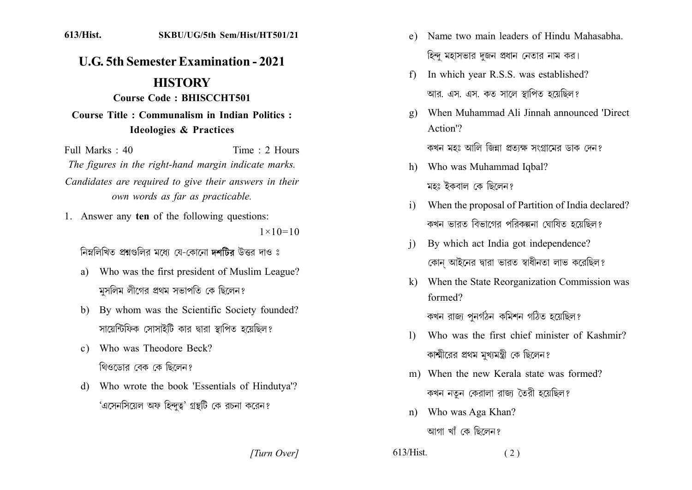**U.G. 5th Semester Examination - 2021 HISTORY** Course Code: BHISCCHT501 **Course Title: Communalism in Indian Politics:** 

## **Ideologies & Practices**

Full Marks  $\cdot$  40 Time  $\cdot$  2 Hours The figures in the right-hand margin indicate marks. Candidates are required to give their answers in their own words as far as practicable.

1. Answer any ten of the following questions:  $1 \times 10 = 10$ 

নিম্নলিখিত প্রশ্নগুলির মধ্যে যে-কোনো দশটির উত্তর দাও ঃ

- Who was the first president of Muslim League?  $a)$ মুসলিম লীগের প্রথম সভাপতি কে ছিলেন?
- b) By whom was the Scientific Society founded? সায়েন্টিফিক সোসাইটি কার দ্বারা স্থাপিত হয়েছিল?
- c) Who was Theodore Beck? থিওডোর বেক কে ছিলেন?
- d) Who wrote the book 'Essentials of Hindutya'? 'এসেনসিয়েল অফ হিন্দুত্ব' গ্রন্থটি কে রচনা করেন?
- Name two main leaders of Hindu Mahasabha  $e)$ হিন্দ মহাসভার দজন প্রধান নেতার নাম কর।
- In which year R.S.S. was established?  $f$ আর. এস. এস. কত সালে স্থাপিত হয়েছিল?
- When Muhammad Ali Jinnah announced 'Direct  $\mathfrak{g}$ ) Action'? কখন মহঃ আলি জিন্না প্রতাক্ষ সংগ্রামের ডাক দেন?
- h) Who was Muhammad Iqbal? মহঃ ইকবাল কে ছিলেন?
- When the proposal of Partition of India declared?  $\mathbf{i}$ কখন ভারত বিভাগের পরিকল্পনা ঘোষিত হয়েছিল?
- By which act India got independence?  $\overline{1}$ কোন আইনের দ্বারা ভারত স্বাধীনতা লাভ করেছিল?
- k) When the State Reorganization Commission was formed?

কখন রাজ্য পুনর্গঠন কমিশন গঠিত হয়েছিল?

- Who was the first chief minister of Kashmir?  $\mathbf{I}$ কাশ্মীরের প্রথম মুখ্যমন্ত্রী কে ছিলেন?
- m) When the new Kerala state was formed? কখন নতুন কেরালা রাজ্য তৈরী হয়েছিল?
- Who was Aga Khan?  $n$ )

আগা খাঁ কে ছিলেন?

[Turn Over]

 $613/H$ ist.  $(2)$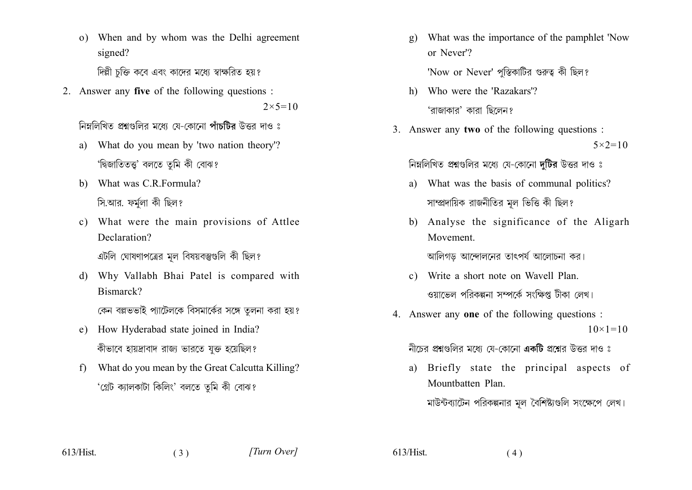o) When and by whom was the Delhi agreement signed?

দিল্লী চক্তি কবে এবং কাদের মধ্যে স্বাক্ষরিত হয়?

2. Answer any five of the following questions :

 $2 \times 5 = 10$ 

নিম্নলিখিত প্ৰশ্নংগলিব মধ্যে যে-কোনো পাঁচটিব উত্তৰ দাও ঃ

- a) What do you mean by 'two nation theory'? 'দ্বিজাতিতত্ত্ব' বলতে তুমি কী বোঝ?
- b) What was C.R.Formula? সি.আর. ফর্মলা কী ছিল?
- c) What were the main provisions of Attlee Declaration?

এটলি ঘোষণাপত্রের মূল বিষয়বস্তুগুলি কী ছিল?

- d) Why Vallabh Bhai Patel is compared with Bismarck? কেন বল্লভভাই প্যাটেলকে বিসমার্কের সঙ্গে তুলনা করা হয়?
- e) How Hyderabad state joined in India? কীভাবে হায়দ্রাবাদ রাজ্য ভারতে যুক্ত হয়েছিল?
- What do you mean by the Great Calcutta Killing?  $f$ 'গ্ৰেট ক্যালকাটা কিলিং' বলতে তুমি কী বোঝ?

 $(3)$ 

What was the importance of the pamphlet 'Now  $g)$ or Never'?

'Now or Never' পুস্তিকাটির গুরুত্ব কী ছিল?

- h) Who were the 'Razakars'? 'রাজাকার' কারা ছিলেন?
- 3. Answer any two of the following questions:  $5 \times 2 = 10$

নিম্নলিখিত প্রশ্নগুলির মধ্যে যে-কোনো দটির উত্তর দাও ঃ

- a) What was the basis of communal politics? সাম্প্রদায়িক রাজনীতির মূল ভিত্তি কী ছিল?
- b) Analyse the significance of the Aligarh Movement

আলিগড আন্দোলনের তাৎপর্য আলোচনা কর।

- c) Write a short note on Wavell Plan. ওয়াভেল পরিকল্পনা সম্পর্কে সংক্ষিপ্ত টীকা লেখ।
- 4. Answer any one of the following questions :  $10 \times 1 = 10$

নীচের প্রশ্নগুলির মধ্যে যে-কোনো **একটি** প্রশ্নের উত্তর দাও ঃ

a) Briefly state the principal aspects of Mountbatten Plan. মাউন্টব্যাটেন পরিকল্পনার মূল বৈশিষ্ট্যগুলি সংক্ষেপে লেখ।

 $613/Hist.$